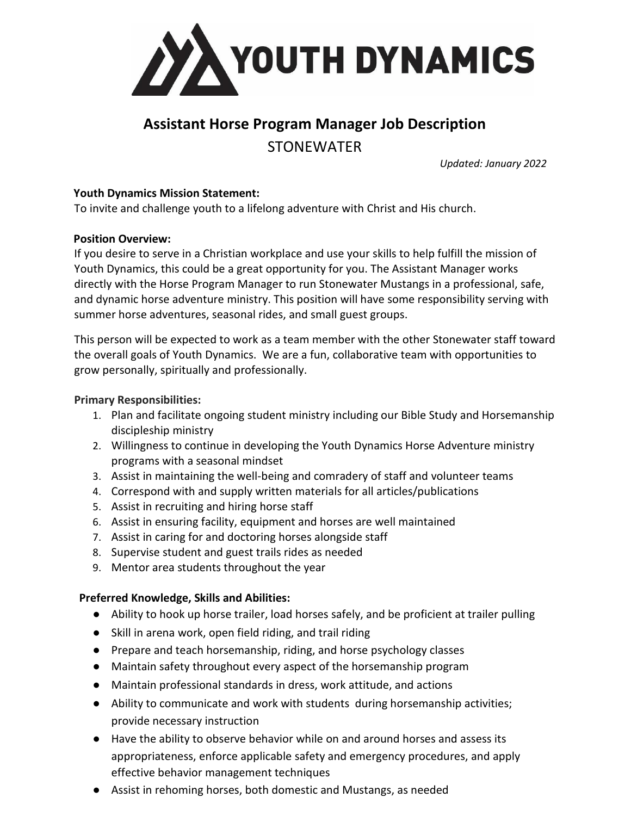

# **Assistant Horse Program Manager Job Description** STONEWATER

*Updated: January 2022*

### **Youth Dynamics Mission Statement:**

To invite and challenge youth to a lifelong adventure with Christ and His church.

#### **Position Overview:**

If you desire to serve in a Christian workplace and use your skills to help fulfill the mission of Youth Dynamics, this could be a great opportunity for you. The Assistant Manager works directly with the Horse Program Manager to run Stonewater Mustangs in a professional, safe, and dynamic horse adventure ministry. This position will have some responsibility serving with summer horse adventures, seasonal rides, and small guest groups.

This person will be expected to work as a team member with the other Stonewater staff toward the overall goals of Youth Dynamics. We are a fun, collaborative team with opportunities to grow personally, spiritually and professionally.

#### **Primary Responsibilities:**

- 1. Plan and facilitate ongoing student ministry including our Bible Study and Horsemanship discipleship ministry
- 2. Willingness to continue in developing the Youth Dynamics Horse Adventure ministry programs with a seasonal mindset
- 3. Assist in maintaining the well-being and comradery of staff and volunteer teams
- 4. Correspond with and supply written materials for all articles/publications
- 5. Assist in recruiting and hiring horse staff
- 6. Assist in ensuring facility, equipment and horses are well maintained
- 7. Assist in caring for and doctoring horses alongside staff
- 8. Supervise student and guest trails rides as needed
- 9. Mentor area students throughout the year

# **Preferred Knowledge, Skills and Abilities:**

- Ability to hook up horse trailer, load horses safely, and be proficient at trailer pulling
- Skill in arena work, open field riding, and trail riding
- Prepare and teach horsemanship, riding, and horse psychology classes
- Maintain safety throughout every aspect of the horsemanship program
- Maintain professional standards in dress, work attitude, and actions
- Ability to communicate and work with students during horsemanship activities; provide necessary instruction
- Have the ability to observe behavior while on and around horses and assess its appropriateness, enforce applicable safety and emergency procedures, and apply effective behavior management techniques
- Assist in rehoming horses, both domestic and Mustangs, as needed